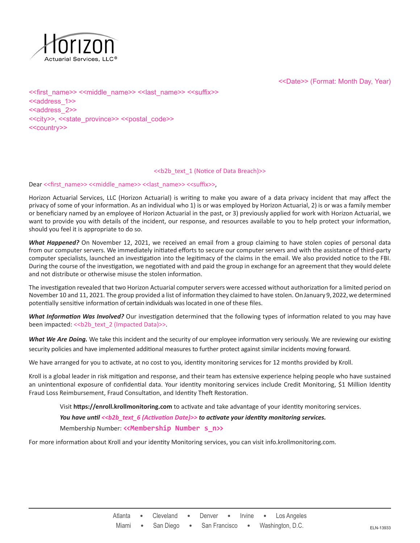

<<Date>> (Format: Month Day, Year)

<<first\_name>> <<middle\_name>> <<last\_name>> <<suffix>> <<address\_1>> <<address 2>> <<city>>, <<state\_province>> <<postal\_code>> <<country>>

# <<b2b\_text\_1 (Notice of Data Breach)>>

Dear << first\_name>> <<middle\_name>> << last\_name>> <<suffix>>,

Horizon Actuarial Services, LLC (Horizon Actuarial) is writing to make you aware of a data privacy incident that may affect the privacy of some of your information. As an individual who 1) is or was employed by Horizon Actuarial, 2) is or was a family member or beneficiary named by an employee of Horizon Actuarial in the past, or 3) previously applied for work with Horizon Actuarial, we want to provide you with details of the incident, our response, and resources available to you to help protect your information, should you feel it is appropriate to do so.

*What Happened?* On November 12, 2021, we received an email from a group claiming to have stolen copies of personal data from our computer servers. We immediately initiated efforts to secure our computer servers and with the assistance of third-party computer specialists, launched an investigation into the legitimacy of the claims in the email. We also provided notice to the FBI. During the course of the investigation, we negotiated with and paid the group in exchange for an agreement that they would delete and not distribute or otherwise misuse the stolen information.

The investigation revealed that two Horizon Actuarial computer servers were accessed without authorization for a limited period on November 10 and 11, 2021. The group provided a list of information they claimed to have stolen. On January 9, 2022, we determined potentially sensitive information of certain individuals was located in one of these files.

*What Information Was Involved?* Our investigation determined that the following types of information related to you may have been impacted: << b2b\_text\_2 (Impacted Data)>>.

What We Are Doing. We take this incident and the security of our employee information very seriously. We are reviewing our existing security policies and have implemented additional measures to further protect against similar incidents moving forward.

We have arranged for you to activate, at no cost to you, identity monitoring services for 12 months provided by Kroll.

Kroll is a global leader in risk mitigation and response, and their team has extensive experience helping people who have sustained an unintentional exposure of confidential data. Your identity monitoring services include Credit Monitoring, \$1 Million Identity Fraud Loss Reimbursement, Fraud Consultation, and Identity Theft Restoration.

Visit **https://enroll.krollmonitoring.com** to activate and take advantage of your identity monitoring services.

*You have until <<b2b\_text\_6 (Activation Date)>> to activate your identity monitoring services.* 

Membership Number: **<<Membership Number s\_n>>**

For more information about Kroll and your identity Monitoring services, you can visit info.krollmonitoring.com.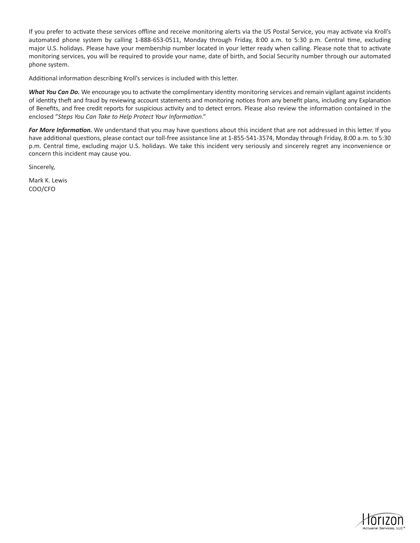If you prefer to activate these services offline and receive monitoring alerts via the US Postal Service, you may activate via Kroll's automated phone system by calling 1-888-653-0511, Monday through Friday, 8:00 a.m. to 5:30 p.m. Central time, excluding major U.S. holidays. Please have your membership number located in your letter ready when calling. Please note that to activate monitoring services, you will be required to provide your name, date of birth, and Social Security number through our automated phone system.

Additional information describing Kroll's services is included with this letter.

*What You Can Do.* We encourage you to activate the complimentary identity monitoring services and remain vigilant against incidents of identity theft and fraud by reviewing account statements and monitoring notices from any benefit plans, including any Explanation of Benefits, and free credit reports for suspicious activity and to detect errors. Please also review the information contained in the enclosed "*Steps You Can Take to Help Protect Your Information*."

*For More Information.* We understand that you may have questions about this incident that are not addressed in this letter. If you have additional questions, please contact our toll-free assistance line at 1-855-541-3574, Monday through Friday, 8:00 a.m. to 5:30 p.m. Central time, excluding major U.S. holidays. We take this incident very seriously and sincerely regret any inconvenience or concern this incident may cause you.

Sincerely,

Mark K. Lewis COO/CFO

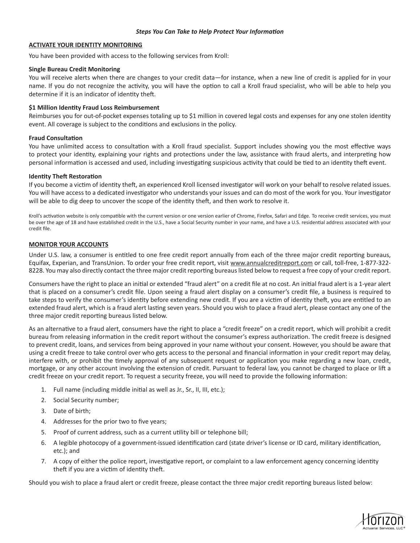# *Steps You Can Take to Help Protect Your Information*

### **ACTIVATE YOUR IDENTITY MONITORING**

You have been provided with access to the following services from Kroll:

### **Single Bureau Credit Monitoring**

You will receive alerts when there are changes to your credit data—for instance, when a new line of credit is applied for in your name. If you do not recognize the activity, you will have the option to call a Kroll fraud specialist, who will be able to help you determine if it is an indicator of identity theft.

# **\$1 Million Identity Fraud Loss Reimbursement**

Reimburses you for out-of-pocket expenses totaling up to \$1 million in covered legal costs and expenses for any one stolen identity event. All coverage is subject to the conditions and exclusions in the policy.

#### **Fraud Consultation**

You have unlimited access to consultation with a Kroll fraud specialist. Support includes showing you the most effective ways to protect your identity, explaining your rights and protections under the law, assistance with fraud alerts, and interpreting how personal information is accessed and used, including investigating suspicious activity that could be tied to an identity theft event.

#### **Identity Theft Restoration**

If you become a victim of identity theft, an experienced Kroll licensed investigator will work on your behalf to resolve related issues. You will have access to a dedicated investigator who understands your issues and can do most of the work for you. Your investigator will be able to dig deep to uncover the scope of the identity theft, and then work to resolve it.

Kroll's activation website is only compatible with the current version or one version earlier of Chrome, Firefox, Safari and Edge. To receive credit services, you must be over the age of 18 and have established credit in the U.S., have a Social Security number in your name, and have a U.S. residential address associated with your credit file.

# **MONITOR YOUR ACCOUNTS**

Under U.S. law, a consumer is entitled to one free credit report annually from each of the three major credit reporting bureaus, Equifax, Experian, and TransUnion. To order your free credit report, visit www.annualcreditreport.com or call, toll-free, 1-877-322- 8228. You may also directly contact the three major credit reporting bureaus listed below to request a free copy of your credit report.

Consumers have the right to place an initial or extended "fraud alert" on a credit file at no cost. An initial fraud alert is a 1-year alert that is placed on a consumer's credit file. Upon seeing a fraud alert display on a consumer's credit file, a business is required to take steps to verify the consumer's identity before extending new credit. If you are a victim of identity theft, you are entitled to an extended fraud alert, which is a fraud alert lasting seven years. Should you wish to place a fraud alert, please contact any one of the three major credit reporting bureaus listed below.

As an alternative to a fraud alert, consumers have the right to place a "credit freeze" on a credit report, which will prohibit a credit bureau from releasing information in the credit report without the consumer's express authorization. The credit freeze is designed to prevent credit, loans, and services from being approved in your name without your consent. However, you should be aware that using a credit freeze to take control over who gets access to the personal and financial information in your credit report may delay, interfere with, or prohibit the timely approval of any subsequent request or application you make regarding a new loan, credit, mortgage, or any other account involving the extension of credit. Pursuant to federal law, you cannot be charged to place or lift a credit freeze on your credit report. To request a security freeze, you will need to provide the following information:

- 1. Full name (including middle initial as well as Jr., Sr., II, III, etc.);
- 2. Social Security number;
- 3. Date of birth;
- 4. Addresses for the prior two to five years;
- 5. Proof of current address, such as a current utility bill or telephone bill;
- 6. A legible photocopy of a government-issued identification card (state driver's license or ID card, military identification, etc.); and
- 7. A copy of either the police report, investigative report, or complaint to a law enforcement agency concerning identity theft if you are a victim of identity theft.

Should you wish to place a fraud alert or credit freeze, please contact the three major credit reporting bureaus listed below: